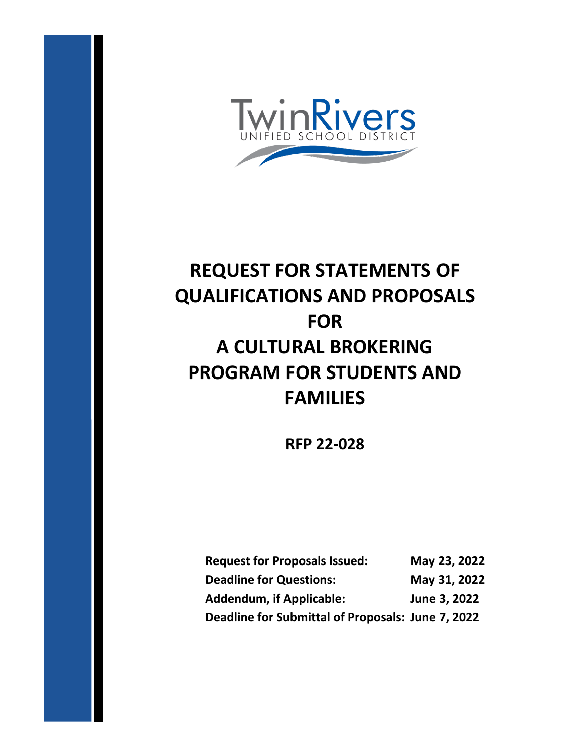

# **REQUEST FOR STATEMENTS OF QUALIFICATIONS AND PROPOSALS FOR A CULTURAL BROKERING PROGRAM FOR STUDENTS AND FAMILIES**

**RFP 22-028**

| <b>Request for Proposals Issued:</b>              | May 23, 2022 |
|---------------------------------------------------|--------------|
| <b>Deadline for Questions:</b>                    | May 31, 2022 |
| <b>Addendum, if Applicable:</b>                   | June 3, 2022 |
| Deadline for Submittal of Proposals: June 7, 2022 |              |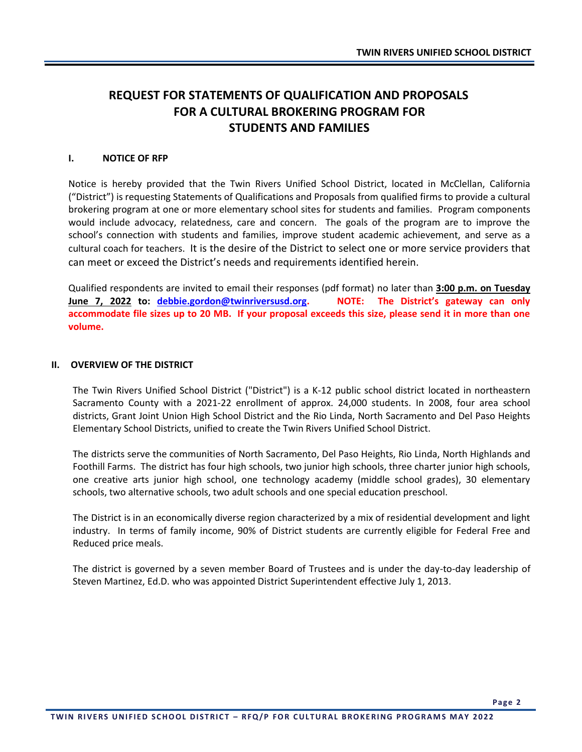### **REQUEST FOR STATEMENTS OF QUALIFICATION AND PROPOSALS FOR A CULTURAL BROKERING PROGRAM FOR STUDENTS AND FAMILIES**

#### **I. NOTICE OF RFP**

Notice is hereby provided that the Twin Rivers Unified School District, located in McClellan, California ("District") is requesting Statements of Qualifications and Proposals from qualified firms to provide a cultural brokering program at one or more elementary school sites for students and families. Program components would include advocacy, relatedness, care and concern. The goals of the program are to improve the school's connection with students and families, improve student academic achievement, and serve as a cultural coach for teachers. It is the desire of the District to select one or more service providers that can meet or exceed the District's needs and requirements identified herein.

Qualified respondents are invited to email their responses (pdf format) no later than **3:00 p.m. on Tuesday June 7, 2022 to: [debbie.gordon@twinriversusd.org](mailto:debbie.gordon@twinriversusd.org). NOTE: The District's gateway can only accommodate file sizes up to 20 MB. If your proposal exceeds this size, please send it in more than one volume.**

#### **II. OVERVIEW OF THE DISTRICT**

The Twin Rivers Unified School District ("District") is a K-12 public school district located in northeastern Sacramento County with a 2021-22 enrollment of approx. 24,000 students. In 2008, four area school districts, Grant Joint Union High School District and the Rio Linda, North Sacramento and Del Paso Heights Elementary School Districts, unified to create the Twin Rivers Unified School District.

The districts serve the communities of North Sacramento, Del Paso Heights, Rio Linda, North Highlands and Foothill Farms. The district has four high schools, two junior high schools, three charter junior high schools, one creative arts junior high school, one technology academy (middle school grades), 30 elementary schools, two alternative schools, two adult schools and one special education preschool.

The District is in an economically diverse region characterized by a mix of residential development and light industry. In terms of family income, 90% of District students are currently eligible for Federal Free and Reduced price meals.

The district is governed by a seven member Board of Trustees and is under the day-to-day leadership of Steven Martinez, Ed.D. who was appointed District Superintendent effective July 1, 2013.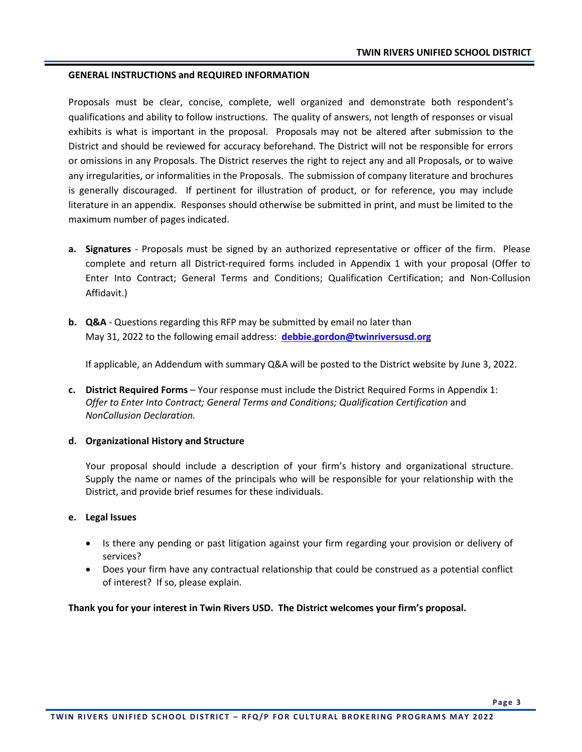#### **GENERAL INSTRUCTIONS and REQUIRED INFORMATION**

Proposals must be clear, concise, complete, well organized and demonstrate both respondent's qualifications and ability to follow instructions. The quality of answers, not length of responses or visual exhibits is what is important in the proposal. Proposals may not be altered after submission to the District and should be reviewed for accuracy beforehand. The District will not be responsible for errors or omissions in any Proposals. The District reserves the right to reject any and all Proposals, or to waive any irregularities, or informalities in the Proposals. The submission of company literature and brochures is generally discouraged. If pertinent for illustration of product, or for reference, you may include literature in an appendix. Responses should otherwise be submitted in print, and must be limited to the maximum number of pages indicated.

- **a. Signatures**  Proposals must be signed by an authorized representative or officer of the firm. Please complete and return all District-required forms included in Appendix 1 with your proposal (Offer to Enter Into Contract; General Terms and Conditions; Qualification Certification; and Non-Collusion Affidavit.)
- **b. Q&A** Questions regarding this RFP may be submitted by email no later than May 31, 2022 to the following email address: **[debbie.gordon@twinriversusd.org](mailto:steve.martinez@twinriversusd.org)**

If applicable, an Addendum with summary Q&A will be posted to the District website by June 3, 2022.

**c. District Required Forms** – Your response must include the District Required Forms in Appendix 1: *Offer to Enter Into Contract; General Terms and Conditions; Qualification Certification* and *NonCollusion Declaration.*

#### **d. Organizational History and Structure**

Your proposal should include a description of your firm's history and organizational structure. Supply the name or names of the principals who will be responsible for your relationship with the District, and provide brief resumes for these individuals.

#### **e. Legal Issues**

- Is there any pending or past litigation against your firm regarding your provision or delivery of services?
- Does your firm have any contractual relationship that could be construed as a potential conflict of interest? If so, please explain.

**Thank you for your interest in Twin Rivers USD. The District welcomes your firm's proposal.**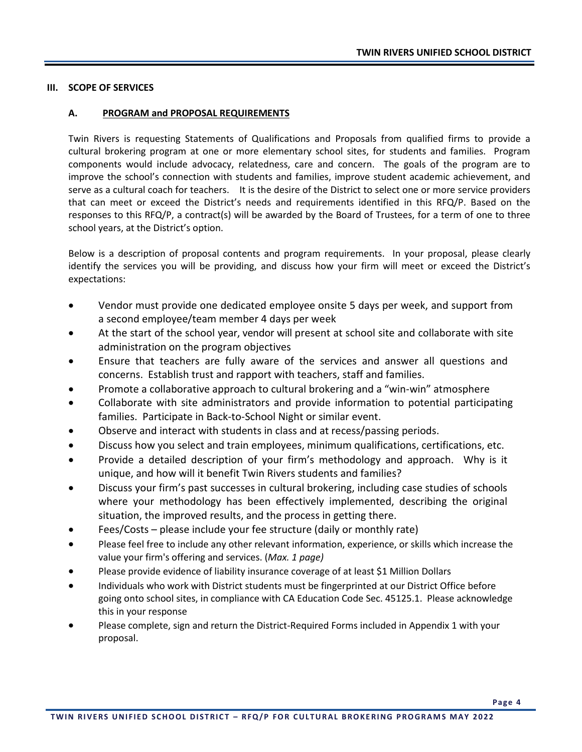#### **III. SCOPE OF SERVICES**

#### **A. PROGRAM and PROPOSAL REQUIREMENTS**

Twin Rivers is requesting Statements of Qualifications and Proposals from qualified firms to provide a cultural brokering program at one or more elementary school sites, for students and families. Program components would include advocacy, relatedness, care and concern. The goals of the program are to improve the school's connection with students and families, improve student academic achievement, and serve as a cultural coach for teachers. It is the desire of the District to select one or more service providers that can meet or exceed the District's needs and requirements identified in this RFQ/P. Based on the responses to this RFQ/P, a contract(s) will be awarded by the Board of Trustees, for a term of one to three school years, at the District's option.

Below is a description of proposal contents and program requirements. In your proposal, please clearly identify the services you will be providing, and discuss how your firm will meet or exceed the District's expectations:

- Vendor must provide one dedicated employee onsite 5 days per week, and support from a second employee/team member 4 days per week
- At the start of the school year, vendor will present at school site and collaborate with site administration on the program objectives
- Ensure that teachers are fully aware of the services and answer all questions and concerns. Establish trust and rapport with teachers, staff and families.
- Promote a collaborative approach to cultural brokering and a "win-win" atmosphere
- Collaborate with site administrators and provide information to potential participating families. Participate in Back-to-School Night or similar event.
- Observe and interact with students in class and at recess/passing periods.
- Discuss how you select and train employees, minimum qualifications, certifications, etc.
- Provide a detailed description of your firm's methodology and approach. Why is it unique, and how will it benefit Twin Rivers students and families?
- Discuss your firm's past successes in cultural brokering, including case studies of schools where your methodology has been effectively implemented, describing the original situation, the improved results, and the process in getting there.
- Fees/Costs please include your fee structure (daily or monthly rate)
- Please feel free to include any other relevant information, experience, or skills which increase the value your firm's offering and services. (*Max. 1 page)*
- Please provide evidence of liability insurance coverage of at least \$1 Million Dollars
- Individuals who work with District students must be fingerprinted at our District Office before going onto school sites, in compliance with CA Education Code Sec. 45125.1. Please acknowledge this in your response
- Please complete, sign and return the District-Required Forms included in Appendix 1 with your proposal.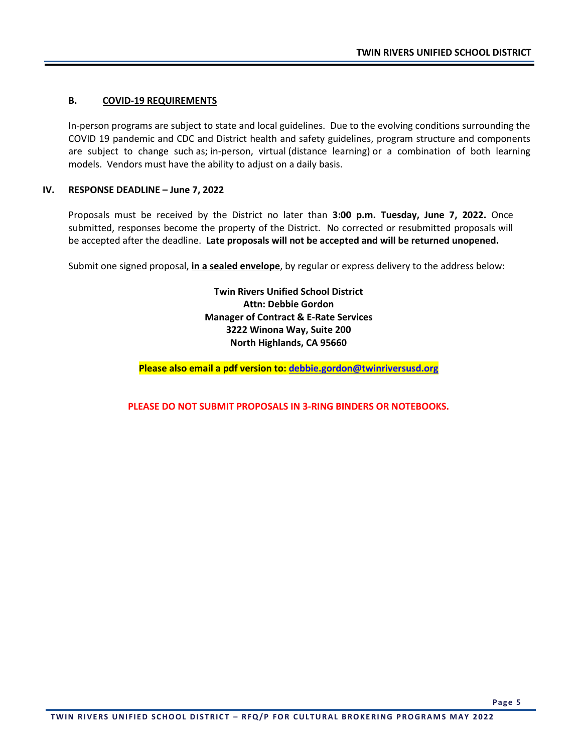#### **B. COVID-19 REQUIREMENTS**

In-person programs are subject to state and local guidelines. Due to the evolving conditions surrounding the COVID 19 pandemic and CDC and District health and safety guidelines, program structure and components are subject to change such as; in-person, virtual (distance learning) or a combination of both learning models. Vendors must have the ability to adjust on a daily basis.

#### **IV. RESPONSE DEADLINE – June 7, 2022**

Proposals must be received by the District no later than **3:00 p.m. Tuesday, June 7, 2022.** Once submitted, responses become the property of the District. No corrected or resubmitted proposals will be accepted after the deadline. **Late proposals will not be accepted and will be returned unopened.** 

Submit one signed proposal, **in a sealed envelope**, by regular or express delivery to the address below:

**Twin Rivers Unified School District Attn: Debbie Gordon Manager of Contract & E-Rate Services 3222 Winona Way, Suite 200 North Highlands, CA 95660**

**Please also email a pdf version to: [debbie.gordon@twinriversusd.org](mailto:debbie.gordon@twinriversusd.org)**

**PLEASE DO NOT SUBMIT PROPOSALS IN 3-RING BINDERS OR NOTEBOOKS.**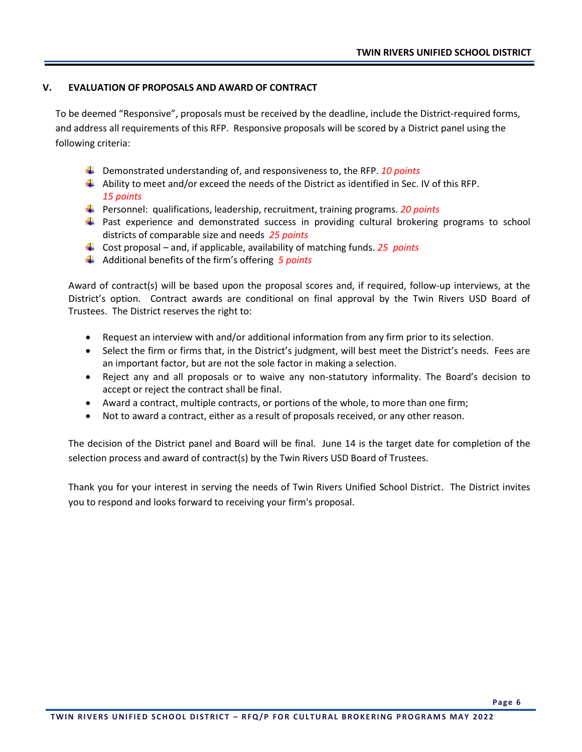#### **V. EVALUATION OF PROPOSALS AND AWARD OF CONTRACT**

To be deemed "Responsive", proposals must be received by the deadline, include the District-required forms, and address all requirements of this RFP. Responsive proposals will be scored by a District panel using the following criteria:

- Demonstrated understanding of, and responsiveness to, the RFP. *10 points*
- $\downarrow$  Ability to meet and/or exceed the needs of the District as identified in Sec. IV of this RFP. *15 points*
- Personnel: qualifications, leadership, recruitment, training programs. *20 points*
- $\ddot{\phantom{1}}$  Past experience and demonstrated success in providing cultural brokering programs to school districts of comparable size and needs *25 points*
- Cost proposal and, if applicable, availability of matching funds. *25 points*
- Additional benefits of the firm's offering *5 points*

Award of contract(s) will be based upon the proposal scores and, if required, follow-up interviews, at the District's option. Contract awards are conditional on final approval by the Twin Rivers USD Board of Trustees. The District reserves the right to:

- Request an interview with and/or additional information from any firm prior to its selection.
- Select the firm or firms that, in the District's judgment, will best meet the District's needs. Fees are an important factor, but are not the sole factor in making a selection.
- Reject any and all proposals or to waive any non-statutory informality. The Board's decision to accept or reject the contract shall be final.
- Award a contract, multiple contracts, or portions of the whole, to more than one firm;
- Not to award a contract, either as a result of proposals received, or any other reason.

The decision of the District panel and Board will be final. June 14 is the target date for completion of the selection process and award of contract(s) by the Twin Rivers USD Board of Trustees.

Thank you for your interest in serving the needs of Twin Rivers Unified School District. The District invites you to respond and looks forward to receiving your firm's proposal.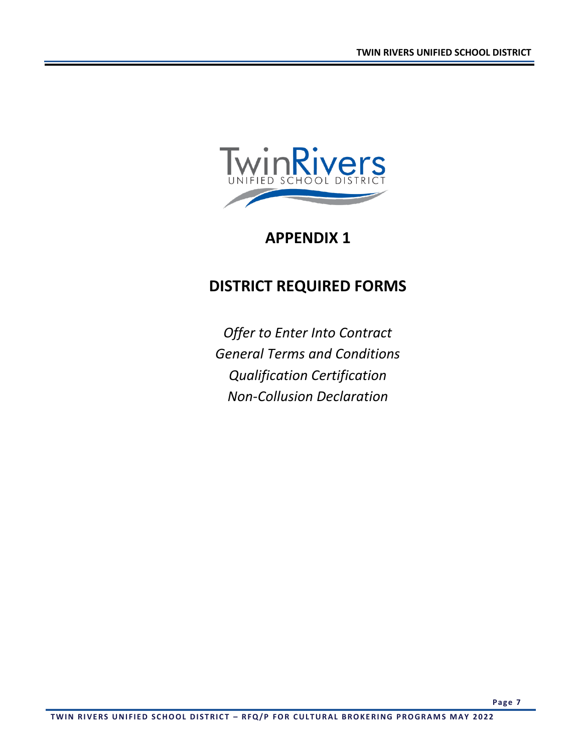

### **APPENDIX 1**

## **DISTRICT REQUIRED FORMS**

*Offer to Enter Into Contract General Terms and Conditions Qualification Certification Non-Collusion Declaration*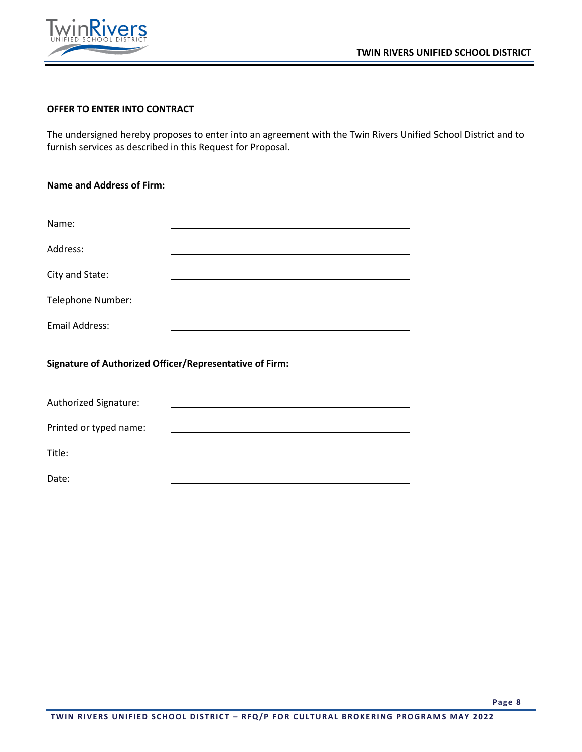



Printed or typed name:

Title:

Date:

#### **OFFER TO ENTER INTO CONTRACT**

The undersigned hereby proposes to enter into an agreement with the Twin Rivers Unified School District and to furnish services as described in this Request for Proposal.

| <b>Name and Address of Firm:</b>                        |  |  |  |  |
|---------------------------------------------------------|--|--|--|--|
|                                                         |  |  |  |  |
| Name:                                                   |  |  |  |  |
| Address:                                                |  |  |  |  |
| City and State:                                         |  |  |  |  |
| Telephone Number:                                       |  |  |  |  |
| <b>Email Address:</b>                                   |  |  |  |  |
| Signature of Authorized Officer/Representative of Firm: |  |  |  |  |
| Authorized Signature:                                   |  |  |  |  |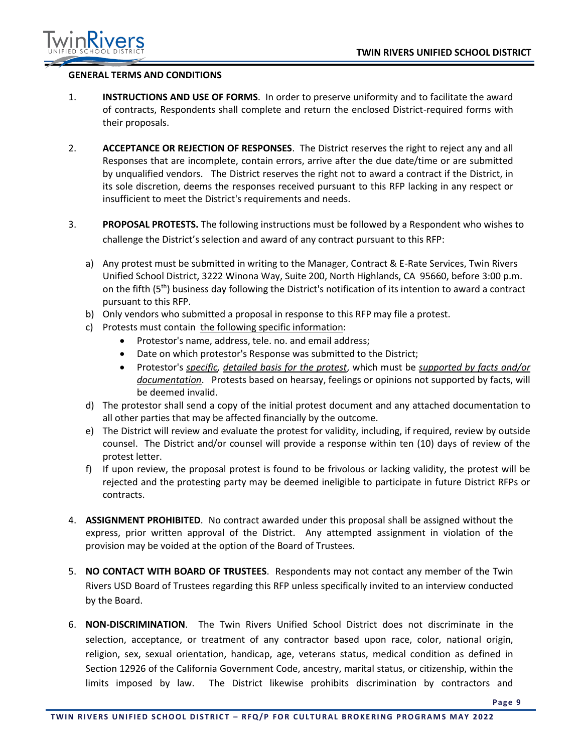

#### **GENERAL TERMS AND CONDITIONS**

- 1. **INSTRUCTIONS AND USE OF FORMS**. In order to preserve uniformity and to facilitate the award of contracts, Respondents shall complete and return the enclosed District-required forms with their proposals.
- 2. **ACCEPTANCE OR REJECTION OF RESPONSES**. The District reserves the right to reject any and all Responses that are incomplete, contain errors, arrive after the due date/time or are submitted by unqualified vendors. The District reserves the right not to award a contract if the District, in its sole discretion, deems the responses received pursuant to this RFP lacking in any respect or insufficient to meet the District's requirements and needs.
- 3. **PROPOSAL PROTESTS.** The following instructions must be followed by a Respondent who wishes to challenge the District's selection and award of any contract pursuant to this RFP:
	- a) Any protest must be submitted in writing to the Manager, Contract & E-Rate Services, Twin Rivers Unified School District, 3222 Winona Way, Suite 200, North Highlands, CA 95660, before 3:00 p.m. on the fifth (5<sup>th</sup>) business day following the District's notification of its intention to award a contract pursuant to this RFP.
	- b) Only vendors who submitted a proposal in response to this RFP may file a protest.
	- c) Protests must contain the following specific information:
		- Protestor's name, address, tele. no. and email address;
		- Date on which protestor's Response was submitted to the District;
		- Protestor's *specific, detailed basis for the protest*, which must be *supported by facts and/or documentation*. Protests based on hearsay, feelings or opinions not supported by facts, will be deemed invalid.
	- d) The protestor shall send a copy of the initial protest document and any attached documentation to all other parties that may be affected financially by the outcome.
	- e) The District will review and evaluate the protest for validity, including, if required, review by outside counsel. The District and/or counsel will provide a response within ten (10) days of review of the protest letter.
	- f) If upon review, the proposal protest is found to be frivolous or lacking validity, the protest will be rejected and the protesting party may be deemed ineligible to participate in future District RFPs or contracts.
- 4. **ASSIGNMENT PROHIBITED**. No contract awarded under this proposal shall be assigned without the express, prior written approval of the District. Any attempted assignment in violation of the provision may be voided at the option of the Board of Trustees.
- 5. **NO CONTACT WITH BOARD OF TRUSTEES**. Respondents may not contact any member of the Twin Rivers USD Board of Trustees regarding this RFP unless specifically invited to an interview conducted by the Board.
- 6. **NON-DISCRIMINATION**. The Twin Rivers Unified School District does not discriminate in the selection, acceptance, or treatment of any contractor based upon race, color, national origin, religion, sex, sexual orientation, handicap, age, veterans status, medical condition as defined in Section 12926 of the California Government Code, ancestry, marital status, or citizenship, within the limits imposed by law. The District likewise prohibits discrimination by contractors and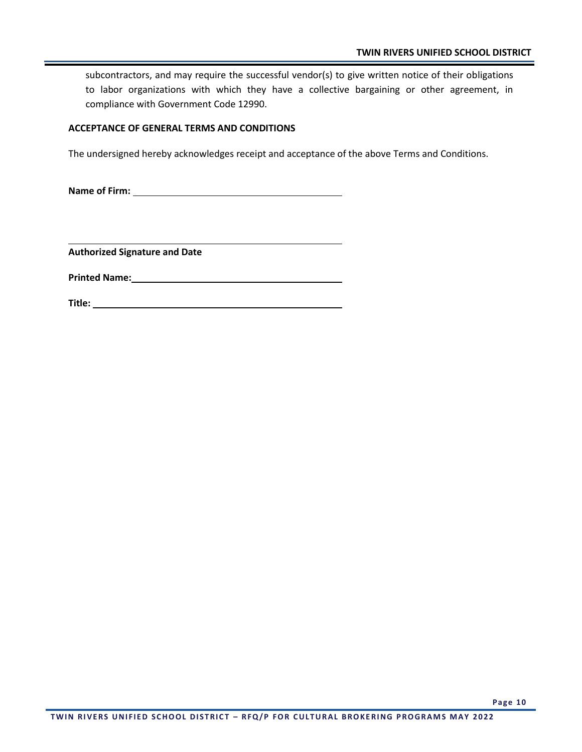subcontractors, and may require the successful vendor(s) to give written notice of their obligations to labor organizations with which they have a collective bargaining or other agreement, in compliance with Government Code 12990.

#### **ACCEPTANCE OF GENERAL TERMS AND CONDITIONS**

The undersigned hereby acknowledges receipt and acceptance of the above Terms and Conditions.

**Name of Firm:** 

**Authorized Signature and Date**

**Printed Name:**

**Title:**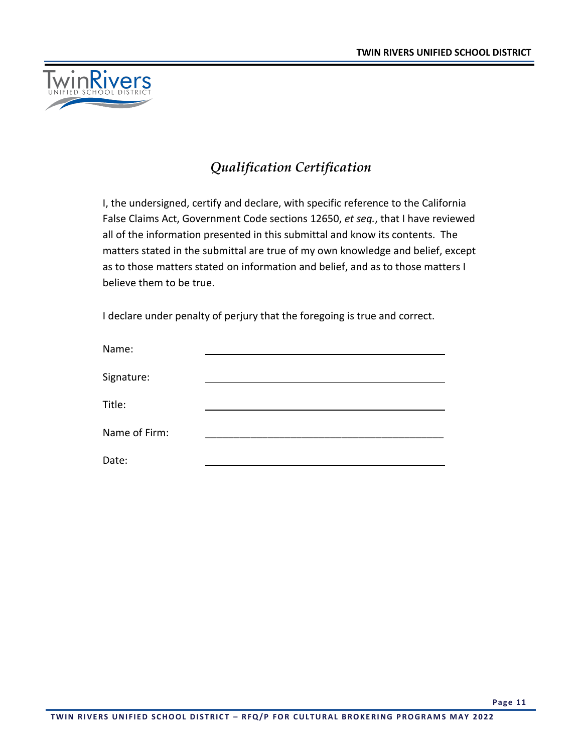

### *Qualification Certification*

I, the undersigned, certify and declare, with specific reference to the California False Claims Act, Government Code sections 12650, *et seq.*, that I have reviewed all of the information presented in this submittal and know its contents. The matters stated in the submittal are true of my own knowledge and belief, except as to those matters stated on information and belief, and as to those matters I believe them to be true.

I declare under penalty of perjury that the foregoing is true and correct.

| Name:         |  |
|---------------|--|
|               |  |
| Signature:    |  |
| Title:        |  |
|               |  |
| Name of Firm: |  |
| Date:         |  |